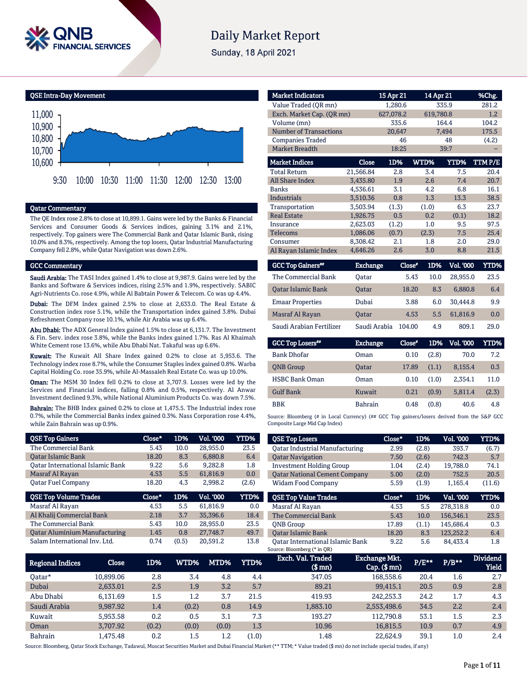

# **Daily Market Report**

Sunday, 18 April 2021

QSE Intra-Day Movement



#### Qatar Commentary

The QE Index rose 2.8% to close at 10,899.1. Gains were led by the Banks & Financial Services and Consumer Goods & Services indices, gaining 3.1% and 2.1%, respectively. Top gainers were The Commercial Bank and Qatar Islamic Bank, rising 10.0% and 8.3%, respectively. Among the top losers, Qatar Industrial Manufacturing Company fell 2.8%, while Qatar Navigation was down 2.6%.

#### GCC Commentary

Saudi Arabia: The TASI Index gained 1.4% to close at 9,987.9. Gains were led by the Banks and Software & Services indices, rising 2.5% and 1.9%, respectively. SABIC Agri-Nutrients Co. rose 4.9%, while Al Babtain Power & Telecom. Co was up 4.4%.

Dubai: The DFM Index gained 2.5% to close at 2,633.0. The Real Estate & Construction index rose 5.1%, while the Transportation index gained 3.8%. Dubai Refreshment Company rose 10.1%, while Air Arabia was up 6.4%.

Abu Dhabi: The ADX General Index gained 1.5% to close at 6,131.7. The Investment & Fin. Serv. index rose 3.8%, while the Banks index gained 1.7%. Ras Al Khaimah White Cement rose 13.6%, while Abu Dhabi Nat. Takaful was up 6.6%.

Kuwait: The Kuwait All Share Index gained 0.2% to close at 5,953.6. The Technology index rose 8.7%, while the Consumer Staples index gained 0.8%. Warba Capital Holding Co. rose 35.9%, while Al-Massaleh Real Estate Co. was up 10.0%.

Oman: The MSM 30 Index fell 0.2% to close at 3,707.9. Losses were led by the Services and Financial indices, falling 0.8% and 0.5%, respectively. Al Anwar Investment declined 9.3%, while National Aluminium Products Co. was down 7.5%.

Bahrain: The BHB Index gained 0.2% to close at 1,475.5. The Industrial index rose 0.7%, while the Commercial Banks index gained 0.3%. Nass Corporation rose 4.4%, while Zain Bahrain was up 0.9%.

| <b>QSE Top Gainers</b>                  | Close* | 1D%  | <b>Vol. '000</b> | YTD%        |
|-----------------------------------------|--------|------|------------------|-------------|
| The Commercial Bank                     | 5.43   | 10.0 | 28,955.0         | 23.5        |
| <b>Oatar Islamic Bank</b>               | 18.20  | 8.3  | 6.880.8          | 6.4         |
| <b>Oatar International Islamic Bank</b> | 9.22   | 5.6  | 9.282.8          | 1.8         |
| Masraf Al Rayan                         | 4.53   | 5.5  | 61,816.9         | 0.0         |
| Oatar Fuel Company                      | 18.20  | 4.3  | 2,998.2          | (2.6)       |
|                                         |        |      |                  |             |
| <b>QSE Top Volume Trades</b>            | Close* | 1D%  | <b>Vol. '000</b> | <b>YTD%</b> |
| Masraf Al Rayan                         | 4.53   | 5.5  | 61.816.9         | 0.0         |
| Al Khalij Commercial Bank               | 2.18   | 3.7  | 35,396.6         | 18.4        |
| The Commercial Bank                     | 5.43   | 10.0 | 28,955.0         | 23.5        |
| <b>Qatar Aluminium Manufacturing</b>    | 1.45   | 0.8  | 27,748.7         | 49.7        |

| <b>Market Indicators</b>  |           | 15 Apr 21 |           | 14 Apr 21 | %Chg.   |
|---------------------------|-----------|-----------|-----------|-----------|---------|
| Value Traded (OR mn)      |           | 1,280.6   | 335.9     | 281.2     |         |
| Exch. Market Cap. (QR mn) | 627,078.2 |           | 619,780.8 | 1.2       |         |
| Volume (mn)               | 335.6     |           | 164.4     | 104.2     |         |
| Number of Transactions    |           | 20,647    |           | 7,494     | 175.5   |
| <b>Companies Traded</b>   |           | 46        |           | 48        | (4.2)   |
| <b>Market Breadth</b>     | 18:25     |           | 39:7      |           |         |
| <b>Market Indices</b>     | Close     | 1D%       | WTD%      | YTD%      | TTM P/E |
| <b>Total Return</b>       | 21,566.84 | 2.8       | 3.4       | 7.5       | 20.4    |
| All Share Index           | 3.435.80  | 1.9       | 2.6       | 7.4       | 20.7    |
| <b>Banks</b>              | 4.536.61  | 3.1       | 4.2       | 6.8       | 16.1    |
| Industrials               | 3,510.36  | 0.8       | 1.3       | 13.3      | 38.5    |
| Transportation            | 3,503.94  | (1.3)     | (1.0)     | 6.3       | 23.7    |
| <b>Real Estate</b>        | 1,926.75  | 0.5       | 0.2       | (0.1)     | 18.2    |
| Insurance                 | 2,623.03  | (1.2)     | 1.0       | 9.5       | 97.5    |
| <b>Telecoms</b>           | 1,086.06  | (0.7)     | (2.3)     | 7.5       | 25.4    |
| Consumer                  | 8.308.42  | 2.1       | 1.8       | 2.0       | 29.0    |
| Al Rayan Islamic Index    | 4,646.26  | 2.6       | 3.0       | 8.8       | 21.5    |

| <b>GCC Top Gainers**</b>  | Exchange,    | Close* | 1D%  | <b>Vol. '000</b> | YTD% |
|---------------------------|--------------|--------|------|------------------|------|
| The Commercial Bank       | Oatar        | 5.43   | 10.0 | 28.955.0         | 23.5 |
| <b>Oatar Islamic Bank</b> | <b>Oatar</b> | 18.20  | 8.3  | 6.880.8          | 6.4  |
| <b>Emaar Properties</b>   | Dubai        | 3.88   | 6.0  | 30.444.8         | 9.9  |
| Masraf Al Rayan           | <b>Oatar</b> | 4.53   | 5.5  | 61,816.9         | 0.0  |
| Saudi Arabian Fertilizer  | Saudi Arabia | 104.00 | 4.9  | 809.1            | 29.0 |

| <b>GCC Top Losers</b> | <b>Exchange</b> | Close* | 1D%   | Vol. '000 | YTD%  |
|-----------------------|-----------------|--------|-------|-----------|-------|
| <b>Bank Dhofar</b>    | Oman            | 0.10   | (2.8) | 70.0      | 7.2   |
| <b>ONB</b> Group      | <b>Oatar</b>    | 17.89  | (1.1) | 8.155.4   | 0.3   |
| <b>HSBC Bank Oman</b> | Oman            | 0.10   | (1.0) | 2.354.1   | 11.0  |
| <b>Gulf Bank</b>      | Kuwait          | 0.21   | (0.9) | 5.811.4   | (2.3) |
| <b>BBK</b>            | <b>Bahrain</b>  | 0.48   | (0.8) | 40.6      | 4.8   |

Source: Bloomberg (# in Local Currency) (## GCC Top gainers/losers derived from the S&P GCC Composite Large Mid Cap Index)

| <b>QSE Top Losers</b>                 | Close* | 1D%   | <b>Vol. '000</b> | <b>YTD%</b> |
|---------------------------------------|--------|-------|------------------|-------------|
| <b>Oatar Industrial Manufacturing</b> | 2.99   | (2.8) | 393.7            | (6.7)       |
| <b>Oatar Navigation</b>               | 7.50   | (2.6) | 742.3            | 5.7         |
| <b>Investment Holding Group</b>       | 1.04   | (2.4) | 19,788.0         | 74.1        |
| <b>Qatar National Cement Company</b>  | 5.00   | (2.0) | 752.5            | 20.5        |
| <b>Widam Food Company</b>             | 5.59   | (1.9) | 1.165.4          | (11.6)      |
|                                       |        |       |                  |             |
|                                       |        |       |                  |             |
| <b>OSE Top Value Trades</b>           | Close* | 1D%   | Val. '000        | <b>YTD%</b> |
| Masraf Al Rayan                       | 4.53   | 5.5   | 278.318.8        | 0.0         |
| The Commercial Bank                   | 5.43   | 10.0  | 156.346.1        | 23.5        |
| <b>ONB</b> Group                      | 17.89  | (1.1) | 145.686.4        | 0.3         |
| <b>Oatar Islamic Bank</b>             | 18.20  | 8.3   | 123.252.2        | 6.4         |

| <b>Regional Indices</b> | Close     | 1D%   | WTD%' | MTD%  | YTD%  | Exch. Val. Traded<br>(\$ mn) | <b>Exchange Mkt.</b><br>$Cap.$ ( $$rm$ ) | $P/E***$ | $P/B**$ | <b>Dividend</b><br>Yield |
|-------------------------|-----------|-------|-------|-------|-------|------------------------------|------------------------------------------|----------|---------|--------------------------|
| Oatar*                  | 10,899.06 | 2.8   | 3.4   | 4.8   | 4.4   | 347.05                       | 168,558.6                                | 20.4     | $1.6\,$ | 2.7                      |
| Dubai                   | 2.633.01  | 2.5   | 1.9   | 3.2   | 5.7   | 89.21                        | 99.415.1                                 | 20.5     | 0.9     | 2.8                      |
| Abu Dhabi               | 6.131.69  | 1.5   | 1.2   | 3.7   | 21.5  | 419.93                       | 242.253.3                                | 24.2     | 1.7     | 4.3                      |
| Saudi Arabia            | 9.987.92  | 1.4   | (0.2) | 0.8   | 14.9  | 1,883.10                     | 2.553.498.6                              | 34.5     | 2.2     | 2.4                      |
| Kuwait                  | 5.953.58  | 0.2   | 0.5   | 3.1   | 7.3   | 193.27                       | 112.790.8                                | 53.1     | 1.5     | 2.3                      |
| Oman                    | 3.707.92  | (0.2) | (0.0) | (0.0) | 1.3   | 10.96                        | 16.815.5                                 | 10.9     | 0.7     | 4.9                      |
| <b>Bahrain</b>          | .475.48   | 0.2   | 1.5   | 1.2   | (1.0) | 1.48                         | 22.624.9                                 | 39.1     | $1.0\,$ | 2.4                      |

Source: Bloomberg, Qatar Stock Exchange, Tadawul, Muscat Securities Market and Dubai Financial Market (\*\* TTM; \* Value traded (\$ mn) do not include special trades, if any)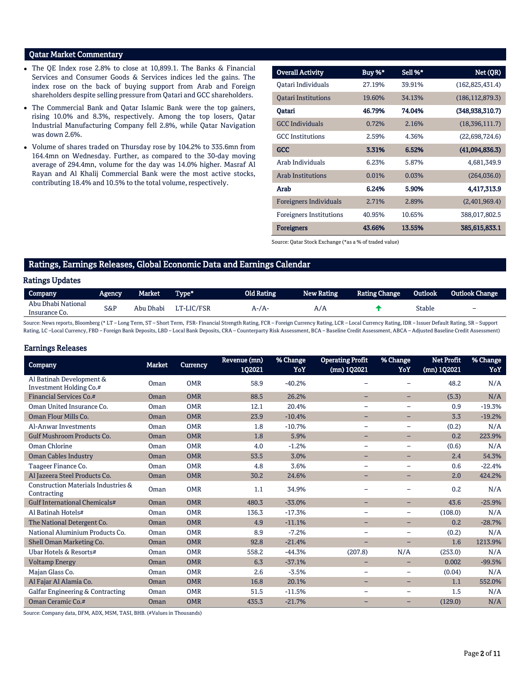# Qatar Market Commentary

- The QE Index rose 2.8% to close at 10,899.1. The Banks & Financial Services and Consumer Goods & Services indices led the gains. The index rose on the back of buying support from Arab and Foreign shareholders despite selling pressure from Qatari and GCC shareholders.
- The Commercial Bank and Qatar Islamic Bank were the top gainers, rising 10.0% and 8.3%, respectively. Among the top losers, Qatar Industrial Manufacturing Company fell 2.8%, while Qatar Navigation was down 2.6%.
- Volume of shares traded on Thursday rose by 104.2% to 335.6mn from 164.4mn on Wednesday. Further, as compared to the 30-day moving average of 294.4mn, volume for the day was 14.0% higher. Masraf Al Rayan and Al Khalij Commercial Bank were the most active stocks, contributing 18.4% and 10.5% to the total volume, respectively.

| <b>Overall Activity</b>        | Buy %* | Sell %* | Net (QR)          |
|--------------------------------|--------|---------|-------------------|
| Oatari Individuals             | 27.19% | 39.91%  | (162, 825, 431.4) |
| <b>Oatari Institutions</b>     | 19.60% | 34.13%  | (186, 112, 879.3) |
| Oatari                         | 46.79% | 74.04%  | (348, 938, 310.7) |
| <b>GCC Individuals</b>         | 0.72%  | 2.16%   | (18,396,111.7)    |
| <b>GCC</b> Institutions        | 2.59%  | 4.36%   | (22,698,724.6)    |
| <b>GCC</b>                     | 3.31%  | 6.52%   | (41,094,836.3)    |
| Arab Individuals               | 6.23%  | 5.87%   | 4,681,349.9       |
| <b>Arab Institutions</b>       | 0.01%  | 0.03%   | (264, 036.0)      |
| Arab                           | 6.24%  | 5.90%   | 4,417,313.9       |
| <b>Foreigners Individuals</b>  | 2.71%  | 2.89%   | (2,401,969.4)     |
| <b>Foreigners Institutions</b> | 40.95% | 10.65%  | 388,017,802.5     |
| <b>Foreigners</b>              | 43.66% | 13.55%  | 385,615,833.1     |

Source: Qatar Stock Exchange (\*as a % of traded value)

### Ratings, Earnings Releases, Global Economic Data and Earnings Calendar

#### Ratings Updates

| Company                             | Agency | Market    | Type*      | Old Rating | New Rating | <b>Rating Change</b> | Outlook | <b>Outlook Change</b> |
|-------------------------------------|--------|-----------|------------|------------|------------|----------------------|---------|-----------------------|
| Abu Dhabi National<br>Insurance Co. | S&P    | Abu Dhabi | LT-LIC/FSR | A-7A-      |            |                      | Stable  | -                     |

Source: News reports, Bloomberg (\* LT – Long Term, ST – Short Term, FSR- Financial Strength Rating, FCR – Foreign Currency Rating, LCR – Local Currency Rating, IDR – Issuer Default Rating, SR – Support Rating, LC-Local Currency, FBD - Foreign Bank Deposits, LBD - Local Bank Deposits, CRA - Counterparty Risk Assessment, BCA - Baseline Credit Assessment, ABCA - Adjusted Baseline Credit Assessment)

#### Earnings Releases

| Company                                                       | <b>Market</b> | Currency   | Revenue (mn)<br>102021 | % Change<br>YoY | <b>Operating Profit</b><br>(mn) 1Q2021 | % Change<br>YoY          | <b>Net Profit</b><br>(mn) 102021 | % Change<br>YoY |
|---------------------------------------------------------------|---------------|------------|------------------------|-----------------|----------------------------------------|--------------------------|----------------------------------|-----------------|
| Al Batinah Development &<br>Investment Holding Co.#           | Oman          | <b>OMR</b> | 58.9                   | $-40.2%$        |                                        |                          | 48.2                             | N/A             |
| <b>Financial Services Co.#</b>                                | Oman          | <b>OMR</b> | 88.5                   | 26.2%           | -                                      | -                        | (5.3)                            | N/A             |
| Oman United Insurance Co.                                     | Oman          | <b>OMR</b> | 12.1                   | 20.4%           | $\qquad \qquad -$                      | $\qquad \qquad -$        | 0.9                              | $-19.3%$        |
| Oman Flour Mills Co.                                          | Oman          | <b>OMR</b> | 23.9                   | $-10.4%$        | -                                      | -                        | 3.3                              | $-19.2%$        |
| Al-Anwar Investments                                          | Oman          | <b>OMR</b> | 1.8                    | $-10.7%$        | $\qquad \qquad -$                      | $\qquad \qquad -$        | (0.2)                            | N/A             |
| <b>Gulf Mushroom Products Co.</b>                             | Oman          | <b>OMR</b> | 1.8                    | 5.9%            | -                                      | -                        | 0.2                              | 223.9%          |
| Oman Chlorine                                                 | Oman          | <b>OMR</b> | 4.0                    | $-1.2%$         | $\overline{\phantom{m}}$               | $\qquad \qquad -$        | (0.6)                            | N/A             |
| <b>Oman Cables Industry</b>                                   | Oman          | <b>OMR</b> | 53.5                   | 3.0%            | -                                      | -                        | 2.4                              | 54.3%           |
| Taageer Finance Co.                                           | Oman          | <b>OMR</b> | 4.8                    | 3.6%            | $\overline{\phantom{0}}$               | $\overline{\phantom{0}}$ | 0.6                              | $-22.4%$        |
| Al Jazeera Steel Products Co.                                 | Oman          | <b>OMR</b> | 30.2                   | 24.6%           | -                                      | -                        | 2.0                              | 424.2%          |
| <b>Construction Materials Industries &amp;</b><br>Contracting | Oman          | <b>OMR</b> | 1.1                    | 34.9%           | -                                      |                          | 0.2                              | N/A             |
| <b>Gulf International Chemicals#</b>                          | Oman          | <b>OMR</b> | 480.3                  | $-33.0%$        | -                                      |                          | 43.6                             | $-25.9%$        |
| Al Batinah Hotels#                                            | Oman          | <b>OMR</b> | 136.3                  | $-17.3%$        | $\qquad \qquad =$                      | $\overline{\phantom{0}}$ | (108.0)                          | N/A             |
| The National Detergent Co.                                    | Oman          | <b>OMR</b> | 4.9                    | $-11.1%$        | $\overline{\phantom{0}}$               | -                        | 0.2                              | $-28.7%$        |
| National Aluminium Products Co.                               | Oman          | <b>OMR</b> | 8.9                    | $-7.2%$         | $\overline{\phantom{m}}$               | $\overline{\phantom{0}}$ | (0.2)                            | N/A             |
| Shell Oman Marketing Co.                                      | Oman          | <b>OMR</b> | 92.8                   | $-21.4%$        | $\qquad \qquad -$                      | -                        | 1.6                              | 1213.9%         |
| Ubar Hotels & Resorts#                                        | Oman          | <b>OMR</b> | 558.2                  | $-44.3%$        | (207.8)                                | N/A                      | (253.0)                          | N/A             |
| <b>Voltamp Energy</b>                                         | <b>Oman</b>   | <b>OMR</b> | 6.3                    | $-37.1%$        | -                                      | -                        | 0.002                            | $-99.5%$        |
| Majan Glass Co.                                               | Oman          | <b>OMR</b> | 2.6                    | $-3.5%$         | $\qquad \qquad -$                      | $\overline{\phantom{0}}$ | (0.04)                           | N/A             |
| Al Fajar Al Alamia Co.                                        | <b>Oman</b>   | <b>OMR</b> | 16.8                   | 20.1%           | -                                      | -                        | 1.1                              | 552.0%          |
| Galfar Engineering & Contracting                              | Oman          | <b>OMR</b> | 51.5                   | $-11.5%$        | $\overline{\phantom{0}}$               |                          | 1.5                              | N/A             |
| Oman Ceramic Co.#                                             | Oman          | <b>OMR</b> | 435.3                  | $-21.7%$        | $\overline{\phantom{0}}$               | -                        | (129.0)                          | N/A             |

Source: Company data, DFM, ADX, MSM, TASI, BHB. (#Values in Thousands)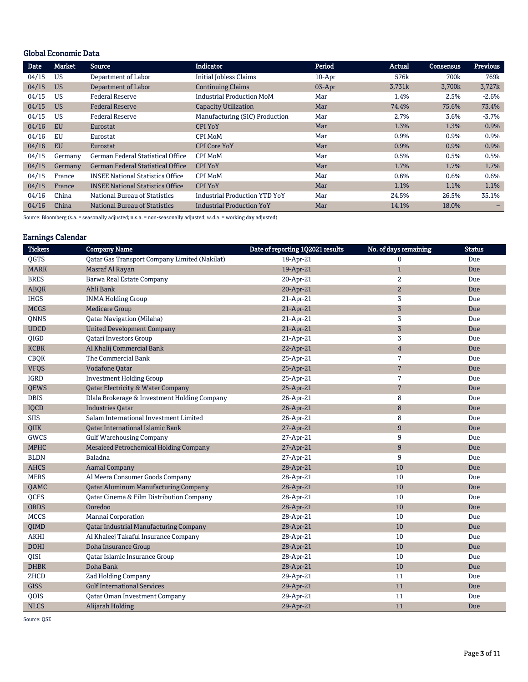# Global Economic Data

| Date  | <b>Market</b> | <b>Source</b>                            | <b>Indicator</b>                 | Period   | Actual | <b>Consensus</b> | <b>Previous</b> |
|-------|---------------|------------------------------------------|----------------------------------|----------|--------|------------------|-----------------|
| 04/15 | US            | Department of Labor                      | <b>Initial Jobless Claims</b>    | $10-Apr$ | 576k   | 700k             | 769k            |
| 04/15 | <b>US</b>     | Department of Labor                      | <b>Continuing Claims</b>         | $03-Apr$ | 3,731k | 3,700k           | 3,727k          |
| 04/15 | US            | <b>Federal Reserve</b>                   | <b>Industrial Production MoM</b> | Mar      | 1.4%   | 2.5%             | $-2.6%$         |
| 04/15 | <b>US</b>     | <b>Federal Reserve</b>                   | <b>Capacity Utilization</b>      | Mar      | 74.4%  | 75.6%            | 73.4%           |
| 04/15 | US            | <b>Federal Reserve</b>                   | Manufacturing (SIC) Production   | Mar      | 2.7%   | 3.6%             | $-3.7%$         |
| 04/16 | <b>EU</b>     | Eurostat                                 | <b>CPI YoY</b>                   | Mar      | 1.3%   | 1.3%             | 0.9%            |
| 04/16 | EU            | Eurostat                                 | CPI MoM                          | Mar      | 0.9%   | 0.9%             | 0.9%            |
| 04/16 | <b>EU</b>     | Eurostat                                 | <b>CPI Core YoY</b>              | Mar      | 0.9%   | 0.9%             | 0.9%            |
| 04/15 | Germany       | German Federal Statistical Office        | CPI MoM                          | Mar      | 0.5%   | 0.5%             | 0.5%            |
| 04/15 | Germany       | <b>German Federal Statistical Office</b> | <b>CPI YoY</b>                   | Mar      | 1.7%   | 1.7%             | 1.7%            |
| 04/15 | France        | <b>INSEE National Statistics Office</b>  | CPI MoM                          | Mar      | 0.6%   | 0.6%             | 0.6%            |
| 04/15 | France        | <b>INSEE National Statistics Office</b>  | <b>CPI YoY</b>                   | Mar      | 1.1%   | 1.1%             | 1.1%            |
| 04/16 | China         | National Bureau of Statistics            | Industrial Production YTD YoY    | Mar      | 24.5%  | 26.5%            | 35.1%           |
| 04/16 | China         | National Bureau of Statistics            | <b>Industrial Production YoY</b> | Mar      | 14.1%  | 18.0%            |                 |

Source: Bloomberg (s.a. = seasonally adjusted; n.s.a. = non-seasonally adjusted; w.d.a. = working day adjusted)

# Earnings Calendar

| <b>Tickers</b> | <b>Company Name</b>                           | Date of reporting 1Q2021 results | No. of days remaining | <b>Status</b> |
|----------------|-----------------------------------------------|----------------------------------|-----------------------|---------------|
| QGTS           | Qatar Gas Transport Company Limited (Nakilat) | 18-Apr-21                        | $\mathbf{0}$          | Due           |
| <b>MARK</b>    | Masraf Al Rayan                               | 19-Apr-21                        | $\mathbf{1}$          | Due           |
| <b>BRES</b>    | Barwa Real Estate Company                     | 20-Apr-21                        | $\overline{2}$        | Due           |
| <b>ABQK</b>    | Ahli Bank                                     | 20-Apr-21                        | $\mathbf{2}$          | Due           |
| <b>IHGS</b>    | <b>INMA Holding Group</b>                     | 21-Apr-21                        | $\sqrt{3}$            | Due           |
| <b>MCGS</b>    | <b>Medicare Group</b>                         | 21-Apr-21                        | $\sqrt{3}$            | Due           |
| QNNS           | Qatar Navigation (Milaha)                     | 21-Apr-21                        | $\sqrt{3}$            | Due           |
| <b>UDCD</b>    | <b>United Development Company</b>             | 21-Apr-21                        | $\sqrt{3}$            | Due           |
| QIGD           | Qatari Investors Group                        | 21-Apr-21                        | $\sqrt{3}$            | Due           |
| <b>KCBK</b>    | Al Khalij Commercial Bank                     | 22-Apr-21                        | $\overline{4}$        | Due           |
| <b>CBQK</b>    | The Commercial Bank                           | 25-Apr-21                        | $\overline{7}$        | Due           |
| <b>VFQS</b>    | <b>Vodafone Qatar</b>                         | 25-Apr-21                        | $7\phantom{.0}$       | Due           |
| <b>IGRD</b>    | <b>Investment Holding Group</b>               | 25-Apr-21                        | $\overline{7}$        | Due           |
| <b>QEWS</b>    | Qatar Electricity & Water Company             | 25-Apr-21                        | $7\phantom{.0}$       | Due           |
| <b>DBIS</b>    | Dlala Brokerage & Investment Holding Company  | 26-Apr-21                        | 8                     | Due           |
| <b>IQCD</b>    | <b>Industries Qatar</b>                       | 26-Apr-21                        | 8                     | Due           |
| <b>SIIS</b>    | Salam International Investment Limited        | 26-Apr-21                        | 8                     | Due           |
| <b>OIIK</b>    | <b>Qatar International Islamic Bank</b>       | 27-Apr-21                        | 9                     | Due           |
| GWCS           | <b>Gulf Warehousing Company</b>               | 27-Apr-21                        | 9                     | Due           |
| <b>MPHC</b>    | Mesaieed Petrochemical Holding Company        | 27-Apr-21                        | 9                     | Due           |
| <b>BLDN</b>    | Baladna                                       | 27-Apr-21                        | 9                     | Due           |
| <b>AHCS</b>    | <b>Aamal Company</b>                          | 28-Apr-21                        | 10                    | Due           |
| <b>MERS</b>    | Al Meera Consumer Goods Company               | 28-Apr-21                        | 10                    | Due           |
| QAMC           | <b>Qatar Aluminum Manufacturing Company</b>   | 28-Apr-21                        | 10                    | Due           |
| <b>OCFS</b>    | Qatar Cinema & Film Distribution Company      | 28-Apr-21                        | 10                    | Due           |
| <b>ORDS</b>    | Ooredoo                                       | 28-Apr-21                        | 10                    | Due           |
| <b>MCCS</b>    | Mannai Corporation                            | 28-Apr-21                        | 10                    | Due           |
| QIMD           | <b>Qatar Industrial Manufacturing Company</b> | 28-Apr-21                        | 10                    | Due           |
| <b>AKHI</b>    | Al Khaleej Takaful Insurance Company          | 28-Apr-21                        | 10                    | Due           |
| <b>DOHI</b>    | Doha Insurance Group                          | 28-Apr-21                        | 10                    | Due           |
| <b>OISI</b>    | Qatar Islamic Insurance Group                 | 28-Apr-21                        | 10                    | Due           |
| <b>DHBK</b>    | Doha Bank                                     | 28-Apr-21                        | 10                    | Due           |
| ZHCD           | Zad Holding Company                           | 29-Apr-21                        | 11                    | Due           |
| <b>GISS</b>    | <b>Gulf International Services</b>            | 29-Apr-21                        | 11                    | Due           |
| QOIS           | Qatar Oman Investment Company                 | 29-Apr-21                        | 11                    | Due           |
| <b>NLCS</b>    | Alijarah Holding                              | 29-Apr-21                        | 11                    | Due           |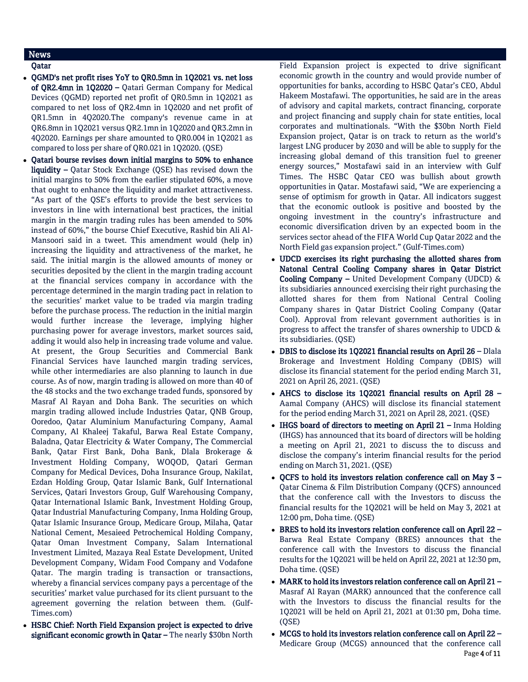# News

## Qatar

- OGMD's net profit rises YoY to QR0.5mn in 1Q2021 vs. net loss of QR2.4mn in 1Q2020 – Qatari German Company for Medical Devices (QGMD) reported net profit of QR0.5mn in 1Q2021 as compared to net loss of QR2.4mn in 1Q2020 and net profit of QR1.5mn in 4Q2020.The company's revenue came in at QR6.8mn in 1Q2021 versus QR2.1mn in 1Q2020 and QR3.2mn in 4Q2020. Earnings per share amounted to QR0.004 in 1Q2021 as compared to loss per share of QR0.021 in 1Q2020. (QSE)
- Qatari bourse revises down initial margins to 50% to enhance liquidity – Qatar Stock Exchange (QSE) has revised down the initial margins to 50% from the earlier stipulated 60%, a move that ought to enhance the liquidity and market attractiveness. "As part of the QSE's efforts to provide the best services to investors in line with international best practices, the initial margin in the margin trading rules has been amended to 50% instead of 60%," the bourse Chief Executive, Rashid bin Ali Al-Mansoori said in a tweet. This amendment would (help in) increasing the liquidity and attractiveness of the market, he said. The initial margin is the allowed amounts of money or securities deposited by the client in the margin trading account at the financial services company in accordance with the percentage determined in the margin trading pact in relation to the securities' market value to be traded via margin trading before the purchase process. The reduction in the initial margin would further increase the leverage, implying higher purchasing power for average investors, market sources said, adding it would also help in increasing trade volume and value. At present, the Group Securities and Commercial Bank Financial Services have launched margin trading services, while other intermediaries are also planning to launch in due course. As of now, margin trading is allowed on more than 40 of the 48 stocks and the two exchange traded funds, sponsored by Masraf Al Rayan and Doha Bank. The securities on which margin trading allowed include Industries Qatar, QNB Group, Ooredoo, Qatar Aluminium Manufacturing Company, Aamal Company, Al Khaleej Takaful, Barwa Real Estate Company, Baladna, Qatar Electricity & Water Company, The Commercial Bank, Qatar First Bank, Doha Bank, Dlala Brokerage & Investment Holding Company, WOQOD, Qatari German Company for Medical Devices, Doha Insurance Group, Nakilat, Ezdan Holding Group, Qatar Islamic Bank, Gulf International Services, Qatari Investors Group, Gulf Warehousing Company, Qatar International Islamic Bank, Investment Holding Group, Qatar Industrial Manufacturing Company, Inma Holding Group, Qatar Islamic Insurance Group, Medicare Group, Milaha, Qatar National Cement, Mesaieed Petrochemical Holding Company, Qatar Oman Investment Company, Salam International Investment Limited, Mazaya Real Estate Development, United Development Company, Widam Food Company and Vodafone Qatar. The margin trading is transaction or transactions, whereby a financial services company pays a percentage of the securities' market value purchased for its client pursuant to the agreement governing the relation between them. (Gulf-Times.com)
- HSBC Chief: North Field Expansion project is expected to drive significant economic growth in Qatar - The nearly \$30bn North

Field Expansion project is expected to drive significant economic growth in the country and would provide number of opportunities for banks, according to HSBC Qatar's CEO, Abdul Hakeem Mostafawi. The opportunities, he said are in the areas of advisory and capital markets, contract financing, corporate and project financing and supply chain for state entities, local corporates and multinationals. "With the \$30bn North Field Expansion project, Qatar is on track to return as the world's largest LNG producer by 2030 and will be able to supply for the increasing global demand of this transition fuel to greener energy sources," Mostafawi said in an interview with Gulf Times. The HSBC Qatar CEO was bullish about growth opportunities in Qatar. Mostafawi said, "We are experiencing a sense of optimism for growth in Qatar. All indicators suggest that the economic outlook is positive and boosted by the ongoing investment in the country's infrastructure and economic diversification driven by an expected boom in the services sector ahead of the FIFA World Cup Qatar 2022 and the North Field gas expansion project." (Gulf-Times.com)

- UDCD exercises its right purchasing the allotted shares from Natonal Central Cooling Company shares in Qatar District Cooling Company – United Development Company (UDCD) & its subsidiaries announced exercising their right purchasing the allotted shares for them from National Central Cooling Company shares in Qatar District Cooling Company (Qatar Cool). Approval from relevant government authorities is in progress to affect the transfer of shares ownership to UDCD & its subsidiaries. (QSE)
- DBIS to disclose its 1Q2021 financial results on April 26 Dlala Brokerage and Investment Holding Company (DBIS) will disclose its financial statement for the period ending March 31, 2021 on April 26, 2021. (QSE)
- AHCS to disclose its 1Q2021 financial results on April 28 Aamal Company (AHCS) will disclose its financial statement for the period ending March 31, 2021 on April 28, 2021. (QSE)
- IHGS board of directors to meeting on April 21 Inma Holding (IHGS) has announced that its board of directors will be holding a meeting on April 21, 2021 to discuss the to discuss and disclose the company's interim financial results for the period ending on March 31, 2021. (QSE)
- $\bullet$  QCFS to hold its investors relation conference call on May 3 Qatar Cinema & Film Distribution Company (QCFS) announced that the conference call with the Investors to discuss the financial results for the 1Q2021 will be held on May 3, 2021 at 12:00 pm, Doha time. (QSE)
- BRES to hold its investors relation conference call on April 22 Barwa Real Estate Company (BRES) announces that the conference call with the Investors to discuss the financial results for the 1Q2021 will be held on April 22, 2021 at 12:30 pm, Doha time. (QSE)
- MARK to hold its investors relation conference call on April 21 Masraf Al Rayan (MARK) announced that the conference call with the Investors to discuss the financial results for the 1Q2021 will be held on April 21, 2021 at 01:30 pm, Doha time. (QSE)
- Page 4 of 11 MCGS to hold its investors relation conference call on April 22 – Medicare Group (MCGS) announced that the conference call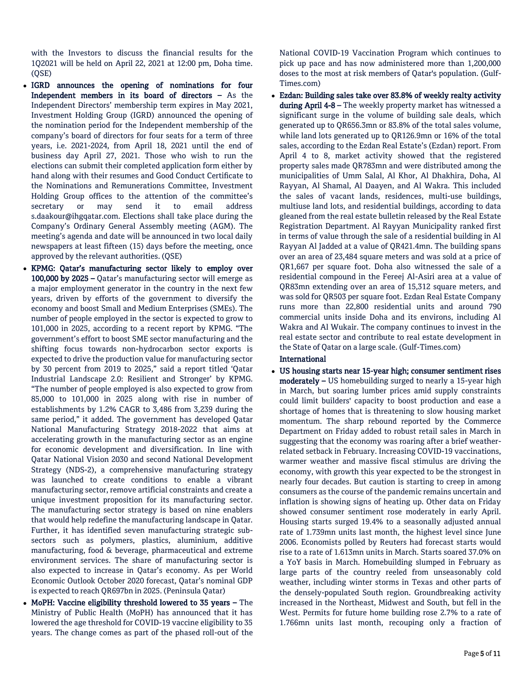with the Investors to discuss the financial results for the 1Q2021 will be held on April 22, 2021 at 12:00 pm, Doha time. (QSE)

- IGRD announces the opening of nominations for four Independent members in its board of directors – As the Independent Directors' membership term expires in May 2021, Investment Holding Group (IGRD) announced the opening of the nomination period for the Independent membership of the company's board of directors for four seats for a term of three years, i.e. 2021-2024, from April 18, 2021 until the end of business day April 27, 2021. Those who wish to run the elections can submit their completed application form either by hand along with their resumes and Good Conduct Certificate to the Nominations and Remunerations Committee, Investment Holding Group offices to the attention of the committee's secretary or may send it to email address s.daakour@ihgqatar.com. Elections shall take place during the Company's Ordinary General Assembly meeting (AGM). The meeting's agenda and date will be announced in two local daily newspapers at least fifteen (15) days before the meeting, once approved by the relevant authorities. (QSE)
- KPMG: Qatar's manufacturing sector likely to employ over 100,000 by 2025 – Qatar's manufacturing sector will emerge as a major employment generator in the country in the next few years, driven by efforts of the government to diversify the economy and boost Small and Medium Enterprises (SMEs). The number of people employed in the sector is expected to grow to 101,000 in 2025, according to a recent report by KPMG. "The government's effort to boost SME sector manufacturing and the shifting focus towards non-hydrocarbon sector exports is expected to drive the production value for manufacturing sector by 30 percent from 2019 to 2025," said a report titled 'Qatar Industrial Landscape 2.0: Resilient and Stronger' by KPMG. "The number of people employed is also expected to grow from 85,000 to 101,000 in 2025 along with rise in number of establishments by 1.2% CAGR to 3,486 from 3,239 during the same period," it added. The government has developed Qatar National Manufacturing Strategy 2018-2022 that aims at accelerating growth in the manufacturing sector as an engine for economic development and diversification. In line with Qatar National Vision 2030 and second National Development Strategy (NDS-2), a comprehensive manufacturing strategy was launched to create conditions to enable a vibrant manufacturing sector, remove artificial constraints and create a unique investment proposition for its manufacturing sector. The manufacturing sector strategy is based on nine enablers that would help redefine the manufacturing landscape in Qatar. Further, it has identified seven manufacturing strategic subsectors such as polymers, plastics, aluminium, additive manufacturing, food & beverage, pharmaceutical and extreme environment services. The share of manufacturing sector is also expected to increase in Qatar's economy. As per World Economic Outlook October 2020 forecast, Qatar's nominal GDP is expected to reach QR697bn in 2025. (Peninsula Qatar)
- MoPH: Vaccine eligibility threshold lowered to 35 years The Ministry of Public Health (MoPH) has announced that it has lowered the age threshold for COVID-19 vaccine eligibility to 35 years. The change comes as part of the phased roll-out of the

National COVID-19 Vaccination Program which continues to pick up pace and has now administered more than 1,200,000 doses to the most at risk members of Qatar's population. (Gulf-Times.com)

 Ezdan: Building sales take over 83.8% of weekly realty activity during April 4-8 – The weekly property market has witnessed a significant surge in the volume of building sale deals, which generated up to QR656.3mn or 83.8% of the total sales volume, while land lots generated up to QR126.9mn or 16% of the total sales, according to the Ezdan Real Estate's (Ezdan) report. From April 4 to 8, market activity showed that the registered property sales made QR783mn and were distributed among the municipalities of Umm Salal, Al Khor, Al Dhakhira, Doha, Al Rayyan, Al Shamal, Al Daayen, and Al Wakra. This included the sales of vacant lands, residences, multi-use buildings, multiuse land lots, and residential buildings, according to data gleaned from the real estate bulletin released by the Real Estate Registration Department. Al Rayyan Municipality ranked first in terms of value through the sale of a residential building in Al Rayyan Al Jadded at a value of QR421.4mn. The building spans over an area of 23,484 square meters and was sold at a price of QR1,667 per square foot. Doha also witnessed the sale of a residential compound in the Fereej Al-Asiri area at a value of QR83mn extending over an area of 15,312 square meters, and was sold for QR503 per square foot. Ezdan Real Estate Company runs more than 22,800 residential units and around 790 commercial units inside Doha and its environs, including Al Wakra and Al Wukair. The company continues to invest in the real estate sector and contribute to real estate development in the State of Qatar on a large scale. (Gulf-Times.com)

### International

 US housing starts near 15-year high; consumer sentiment rises moderately – US homebuilding surged to nearly a 15-year high in March, but soaring lumber prices amid supply constraints could limit builders' capacity to boost production and ease a shortage of homes that is threatening to slow housing market momentum. The sharp rebound reported by the Commerce Department on Friday added to robust retail sales in March in suggesting that the economy was roaring after a brief weatherrelated setback in February. Increasing COVID-19 vaccinations, warmer weather and massive fiscal stimulus are driving the economy, with growth this year expected to be the strongest in nearly four decades. But caution is starting to creep in among consumers as the course of the pandemic remains uncertain and inflation is showing signs of heating up. Other data on Friday showed consumer sentiment rose moderately in early April. Housing starts surged 19.4% to a seasonally adjusted annual rate of 1.739mn units last month, the highest level since June 2006. Economists polled by Reuters had forecast starts would rise to a rate of 1.613mn units in March. Starts soared 37.0% on a YoY basis in March. Homebuilding slumped in February as large parts of the country reeled from unseasonably cold weather, including winter storms in Texas and other parts of the densely-populated South region. Groundbreaking activity increased in the Northeast, Midwest and South, but fell in the West. Permits for future home building rose 2.7% to a rate of 1.766mn units last month, recouping only a fraction of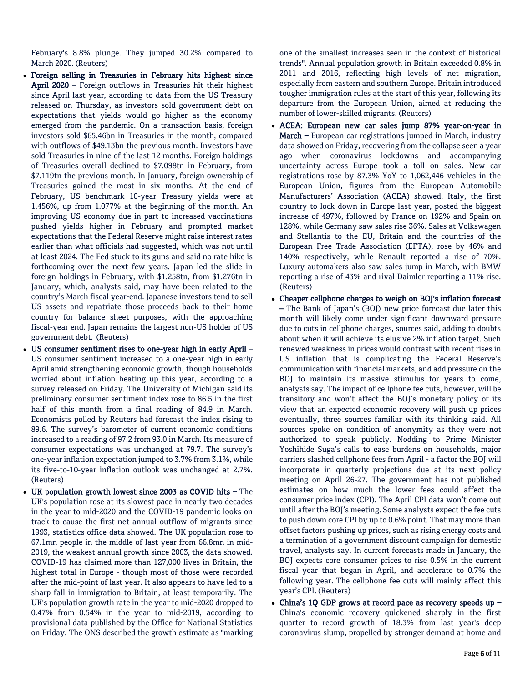February's 8.8% plunge. They jumped 30.2% compared to March 2020. (Reuters)

- Foreign selling in Treasuries in February hits highest since April 2020 – Foreign outflows in Treasuries hit their highest since April last year, according to data from the US Treasury released on Thursday, as investors sold government debt on expectations that yields would go higher as the economy emerged from the pandemic. On a transaction basis, foreign investors sold \$65.46bn in Treasuries in the month, compared with outflows of \$49.13bn the previous month. Investors have sold Treasuries in nine of the last 12 months. Foreign holdings of Treasuries overall declined to \$7.098tn in February, from \$7.119tn the previous month. In January, foreign ownership of Treasuries gained the most in six months. At the end of February, US benchmark 10-year Treasury yields were at 1.456%, up from 1.077% at the beginning of the month. An improving US economy due in part to increased vaccinations pushed yields higher in February and prompted market expectations that the Federal Reserve might raise interest rates earlier than what officials had suggested, which was not until at least 2024. The Fed stuck to its guns and said no rate hike is forthcoming over the next few years. Japan led the slide in foreign holdings in February, with \$1.258tn, from \$1.276tn in January, which, analysts said, may have been related to the country's March fiscal year-end. Japanese investors tend to sell US assets and repatriate those proceeds back to their home country for balance sheet purposes, with the approaching fiscal-year end. Japan remains the largest non-US holder of US government debt. (Reuters)
- US consumer sentiment rises to one-year high in early April US consumer sentiment increased to a one-year high in early April amid strengthening economic growth, though households worried about inflation heating up this year, according to a survey released on Friday. The University of Michigan said its preliminary consumer sentiment index rose to 86.5 in the first half of this month from a final reading of 84.9 in March. Economists polled by Reuters had forecast the index rising to 89.6. The survey's barometer of current economic conditions increased to a reading of 97.2 from 93.0 in March. Its measure of consumer expectations was unchanged at 79.7. The survey's one-year inflation expectation jumped to 3.7% from 3.1%, while its five-to-10-year inflation outlook was unchanged at 2.7%. (Reuters)
- UK population growth lowest since 2003 as COVID hits The UK's population rose at its slowest pace in nearly two decades in the year to mid-2020 and the COVID-19 pandemic looks on track to cause the first net annual outflow of migrants since 1993, statistics office data showed. The UK population rose to 67.1mn people in the middle of last year from 66.8mn in mid-2019, the weakest annual growth since 2003, the data showed. COVID-19 has claimed more than 127,000 lives in Britain, the highest total in Europe - though most of those were recorded after the mid-point of last year. It also appears to have led to a sharp fall in immigration to Britain, at least temporarily. The UK's population growth rate in the year to mid-2020 dropped to 0.47% from 0.54% in the year to mid-2019, according to provisional data published by the Office for National Statistics on Friday. The ONS described the growth estimate as "marking

one of the smallest increases seen in the context of historical trends". Annual population growth in Britain exceeded 0.8% in 2011 and 2016, reflecting high levels of net migration, especially from eastern and southern Europe. Britain introduced tougher immigration rules at the start of this year, following its departure from the European Union, aimed at reducing the number of lower-skilled migrants. (Reuters)

- ACEA: European new car sales jump 87% year-on-year in March – European car registrations jumped in March, industry data showed on Friday, recovering from the collapse seen a year ago when coronavirus lockdowns and accompanying uncertainty across Europe took a toll on sales. New car registrations rose by 87.3% YoY to 1,062,446 vehicles in the European Union, figures from the European Automobile Manufacturers' Association (ACEA) showed. Italy, the first country to lock down in Europe last year, posted the biggest increase of 497%, followed by France on 192% and Spain on 128%, while Germany saw sales rise 36%. Sales at Volkswagen and Stellantis to the EU, Britain and the countries of the European Free Trade Association (EFTA), rose by 46% and 140% respectively, while Renault reported a rise of 70%. Luxury automakers also saw sales jump in March, with BMW reporting a rise of 43% and rival Daimler reporting a 11% rise. (Reuters)
- Cheaper cellphone charges to weigh on BOJ's inflation forecast – The Bank of Japan's (BOJ) new price forecast due later this month will likely come under significant downward pressure due to cuts in cellphone charges, sources said, adding to doubts about when it will achieve its elusive 2% inflation target. Such renewed weakness in prices would contrast with recent rises in US inflation that is complicating the Federal Reserve's communication with financial markets, and add pressure on the BOJ to maintain its massive stimulus for years to come, analysts say. The impact of cellphone fee cuts, however, will be transitory and won't affect the BOJ's monetary policy or its view that an expected economic recovery will push up prices eventually, three sources familiar with its thinking said. All sources spoke on condition of anonymity as they were not authorized to speak publicly. Nodding to Prime Minister Yoshihide Suga's calls to ease burdens on households, major carriers slashed cellphone fees from April - a factor the BOJ will incorporate in quarterly projections due at its next policy meeting on April 26-27. The government has not published estimates on how much the lower fees could affect the consumer price index (CPI). The April CPI data won't come out until after the BOJ's meeting. Some analysts expect the fee cuts to push down core CPI by up to 0.6% point. That may more than offset factors pushing up prices, such as rising energy costs and a termination of a government discount campaign for domestic travel, analysts say. In current forecasts made in January, the BOJ expects core consumer prices to rise 0.5% in the current fiscal year that began in April, and accelerate to 0.7% the following year. The cellphone fee cuts will mainly affect this year's CPI. (Reuters)
- China's 1Q GDP grows at record pace as recovery speeds up China's economic recovery quickened sharply in the first quarter to record growth of 18.3% from last year's deep coronavirus slump, propelled by stronger demand at home and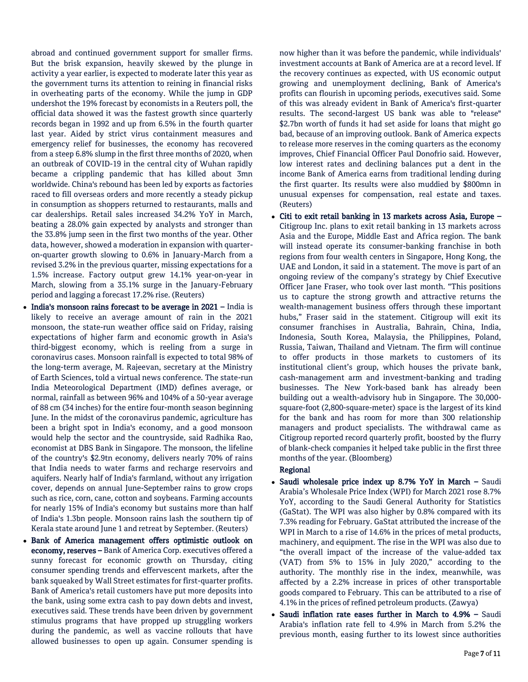abroad and continued government support for smaller firms. But the brisk expansion, heavily skewed by the plunge in activity a year earlier, is expected to moderate later this year as the government turns its attention to reining in financial risks in overheating parts of the economy. While the jump in GDP undershot the 19% forecast by economists in a Reuters poll, the official data showed it was the fastest growth since quarterly records began in 1992 and up from 6.5% in the fourth quarter last year. Aided by strict virus containment measures and emergency relief for businesses, the economy has recovered from a steep 6.8% slump in the first three months of 2020, when an outbreak of COVID-19 in the central city of Wuhan rapidly became a crippling pandemic that has killed about 3mn worldwide. China's rebound has been led by exports as factories raced to fill overseas orders and more recently a steady pickup in consumption as shoppers returned to restaurants, malls and car dealerships. Retail sales increased 34.2% YoY in March, beating a 28.0% gain expected by analysts and stronger than the 33.8% jump seen in the first two months of the year. Other data, however, showed a moderation in expansion with quarteron-quarter growth slowing to 0.6% in January-March from a revised 3.2% in the previous quarter, missing expectations for a 1.5% increase. Factory output grew 14.1% year-on-year in March, slowing from a 35.1% surge in the January-February period and lagging a forecast 17.2% rise. (Reuters)

- $\bullet$  India's monsoon rains forecast to be average in 2021 India is likely to receive an average amount of rain in the 2021 monsoon, the state-run weather office said on Friday, raising expectations of higher farm and economic growth in Asia's third-biggest economy, which is reeling from a surge in coronavirus cases. Monsoon rainfall is expected to total 98% of the long-term average, M. Rajeevan, secretary at the Ministry of Earth Sciences, told a virtual news conference. The state-run India Meteorological Department (IMD) defines average, or normal, rainfall as between 96% and 104% of a 50-year average of 88 cm (34 inches) for the entire four-month season beginning June. In the midst of the coronavirus pandemic, agriculture has been a bright spot in India's economy, and a good monsoon would help the sector and the countryside, said Radhika Rao, economist at DBS Bank in Singapore. The monsoon, the lifeline of the country's \$2.9tn economy, delivers nearly 70% of rains that India needs to water farms and recharge reservoirs and aquifers. Nearly half of India's farmland, without any irrigation cover, depends on annual June-September rains to grow crops such as rice, corn, cane, cotton and soybeans. Farming accounts for nearly 15% of India's economy but sustains more than half of India's 1.3bn people. Monsoon rains lash the southern tip of Kerala state around June 1 and retreat by September. (Reuters)
- Bank of America management offers optimistic outlook on economy, reserves - Bank of America Corp. executives offered a sunny forecast for economic growth on Thursday, citing consumer spending trends and effervescent markets, after the bank squeaked by Wall Street estimates for first-quarter profits. Bank of America's retail customers have put more deposits into the bank, using some extra cash to pay down debts and invest, executives said. These trends have been driven by government stimulus programs that have propped up struggling workers during the pandemic, as well as vaccine rollouts that have allowed businesses to open up again. Consumer spending is

now higher than it was before the pandemic, while individuals' investment accounts at Bank of America are at a record level. If the recovery continues as expected, with US economic output growing and unemployment declining, Bank of America's profits can flourish in upcoming periods, executives said. Some of this was already evident in Bank of America's first-quarter results. The second-largest US bank was able to "release" \$2.7bn worth of funds it had set aside for loans that might go bad, because of an improving outlook. Bank of America expects to release more reserves in the coming quarters as the economy improves, Chief Financial Officer Paul Donofrio said. However, low interest rates and declining balances put a dent in the income Bank of America earns from traditional lending during the first quarter. Its results were also muddied by \$800mn in unusual expenses for compensation, real estate and taxes. (Reuters)

 Citi to exit retail banking in 13 markets across Asia, Europe – Citigroup Inc. plans to exit retail banking in 13 markets across Asia and the Europe, Middle East and Africa region. The bank will instead operate its consumer-banking franchise in both regions from four wealth centers in Singapore, Hong Kong, the UAE and London, it said in a statement. The move is part of an ongoing review of the company's strategy by Chief Executive Officer Jane Fraser, who took over last month. "This positions us to capture the strong growth and attractive returns the wealth-management business offers through these important hubs," Fraser said in the statement. Citigroup will exit its consumer franchises in Australia, Bahrain, China, India, Indonesia, South Korea, Malaysia, the Philippines, Poland, Russia, Taiwan, Thailand and Vietnam. The firm will continue to offer products in those markets to customers of its institutional client's group, which houses the private bank, cash-management arm and investment-banking and trading businesses. The New York-based bank has already been building out a wealth-advisory hub in Singapore. The 30,000 square-foot (2,800-square-meter) space is the largest of its kind for the bank and has room for more than 300 relationship managers and product specialists. The withdrawal came as Citigroup reported record quarterly profit, boosted by the flurry of blank-check companies it helped take public in the first three months of the year. (Bloomberg)

### Regional

- Saudi wholesale price index up 8.7% YoY in March Saudi Arabia's Wholesale Price Index (WPI) for March 2021 rose 8.7% YoY, according to the Saudi General Authority for Statistics (GaStat). The WPI was also higher by 0.8% compared with its 7.3% reading for February. GaStat attributed the increase of the WPI in March to a rise of 14.6% in the prices of metal products, machinery, and equipment. The rise in the WPI was also due to "the overall impact of the increase of the value-added tax (VAT) from 5% to 15% in July 2020," according to the authority. The monthly rise in the index, meanwhile, was affected by a 2.2% increase in prices of other transportable goods compared to February. This can be attributed to a rise of 4.1% in the prices of refined petroleum products. (Zawya)
- Saudi inflation rate eases further in March to 4.9% Saudi Arabia's inflation rate fell to 4.9% in March from 5.2% the previous month, easing further to its lowest since authorities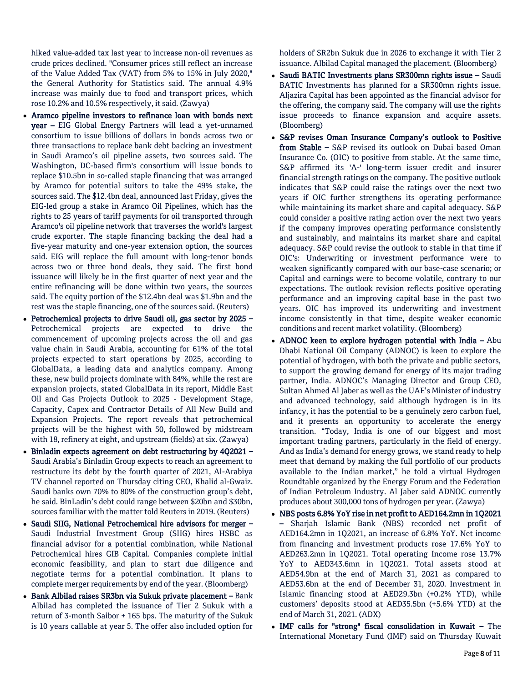hiked value-added tax last year to increase non-oil revenues as crude prices declined. "Consumer prices still reflect an increase of the Value Added Tax (VAT) from 5% to 15% in July 2020," the General Authority for Statistics said. The annual 4.9% increase was mainly due to food and transport prices, which rose 10.2% and 10.5% respectively, it said. (Zawya)

- Aramco pipeline investors to refinance loan with bonds next year – EIG Global Energy Partners will lead a yet-unnamed consortium to issue billions of dollars in bonds across two or three transactions to replace bank debt backing an investment in Saudi Aramco's oil pipeline assets, two sources said. The Washington, DC-based firm's consortium will issue bonds to replace \$10.5bn in so-called staple financing that was arranged by Aramco for potential suitors to take the 49% stake, the sources said. The \$12.4bn deal, announced last Friday, gives the EIG-led group a stake in Aramco Oil Pipelines, which has the rights to 25 years of tariff payments for oil transported through Aramco's oil pipeline network that traverses the world's largest crude exporter. The staple financing backing the deal had a five-year maturity and one-year extension option, the sources said. EIG will replace the full amount with long-tenor bonds across two or three bond deals, they said. The first bond issuance will likely be in the first quarter of next year and the entire refinancing will be done within two years, the sources said. The equity portion of the \$12.4bn deal was \$1.9bn and the rest was the staple financing, one of the sources said. (Reuters)
- Petrochemical projects to drive Saudi oil, gas sector by 2025 Petrochemical projects are expected to drive the commencement of upcoming projects across the oil and gas value chain in Saudi Arabia, accounting for 61% of the total projects expected to start operations by 2025, according to GlobalData, a leading data and analytics company. Among these, new build projects dominate with 84%, while the rest are expansion projects, stated GlobalData in its report, Middle East Oil and Gas Projects Outlook to 2025 - Development Stage, Capacity, Capex and Contractor Details of All New Build and Expansion Projects. The report reveals that petrochemical projects will be the highest with 50, followed by midstream with 18, refinery at eight, and upstream (fields) at six. (Zawya)
- Binladin expects agreement on debt restructuring by 4Q2021 Saudi Arabia's Binladin Group expects to reach an agreement to restructure its debt by the fourth quarter of 2021, Al-Arabiya TV channel reported on Thursday citing CEO, Khalid al-Gwaiz. Saudi banks own 70% to 80% of the construction group's debt, he said. BinLadin's debt could range between \$20bn and \$30bn, sources familiar with the matter told Reuters in 2019. (Reuters)
- Saudi SIIG, National Petrochemical hire advisors for merger Saudi Industrial Investment Group (SIIG) hires HSBC as financial advisor for a potential combination, while National Petrochemical hires GIB Capital. Companies complete initial economic feasibility, and plan to start due diligence and negotiate terms for a potential combination. It plans to complete merger requirements by end of the year. (Bloomberg)
- Bank Albilad raises SR3bn via Sukuk private placement Bank Albilad has completed the issuance of Tier 2 Sukuk with a return of 3-month Saibor + 165 bps. The maturity of the Sukuk is 10 years callable at year 5. The offer also included option for

holders of SR2bn Sukuk due in 2026 to exchange it with Tier 2 issuance. Albilad Capital managed the placement. (Bloomberg)

- Saudi BATIC Investments plans SR300mn rights issue Saudi BATIC Investments has planned for a SR300mn rights issue. Aljazira Capital has been appointed as the financial advisor for the offering, the company said. The company will use the rights issue proceeds to finance expansion and acquire assets. (Bloomberg)
- S&P revises Oman Insurance Company's outlook to Positive from Stable – S&P revised its outlook on Dubai based Oman Insurance Co. (OIC) to positive from stable. At the same time, S&P affirmed its 'A-' long-term issuer credit and insurer financial strength ratings on the company. The positive outlook indicates that S&P could raise the ratings over the next two years if OIC further strengthens its operating performance while maintaining its market share and capital adequacy. S&P could consider a positive rating action over the next two years if the company improves operating performance consistently and sustainably, and maintains its market share and capital adequacy. S&P could revise the outlook to stable in that time if OIC's: Underwriting or investment performance were to weaken significantly compared with our base-case scenario; or Capital and earnings were to become volatile, contrary to our expectations. The outlook revision reflects positive operating performance and an improving capital base in the past two years. OIC has improved its underwriting and investment income consistently in that time, despite weaker economic conditions and recent market volatility. (Bloomberg)
- ADNOC keen to explore hydrogen potential with India Abu Dhabi National Oil Company (ADNOC) is keen to explore the potential of hydrogen, with both the private and public sectors, to support the growing demand for energy of its major trading partner, India. ADNOC's Managing Director and Group CEO, Sultan Ahmed Al Jaber as well as the UAE's Minister of industry and advanced technology, said although hydrogen is in its infancy, it has the potential to be a genuinely zero carbon fuel, and it presents an opportunity to accelerate the energy transition. "Today, India is one of our biggest and most important trading partners, particularly in the field of energy. And as India's demand for energy grows, we stand ready to help meet that demand by making the full portfolio of our products available to the Indian market," he told a virtual Hydrogen Roundtable organized by the Energy Forum and the Federation of Indian Petroleum Industry. Al Jaber said ADNOC currently produces about 300,000 tons of hydrogen per year. (Zawya)
- NBS posts 6.8% YoY rise in net profit to AED164.2mn in 1Q2021 – Sharjah Islamic Bank (NBS) recorded net profit of AED164.2mn in 1Q2021, an increase of 6.8% YoY. Net income from financing and investment products rose 17.6% YoY to AED263.2mn in 1Q2021. Total operating Income rose 13.7% YoY to AED343.6mn in 1Q2021. Total assets stood at AED54.9bn at the end of March 31, 2021 as compared to AED53.6bn at the end of December 31, 2020. Investment in Islamic financing stood at AED29.3bn (+0.2% YTD), while customers' deposits stood at AED35.5bn (+5.6% YTD) at the end of March 31, 2021. (ADX)
- IMF calls for "strong" fiscal consolidation in Kuwait The International Monetary Fund (IMF) said on Thursday Kuwait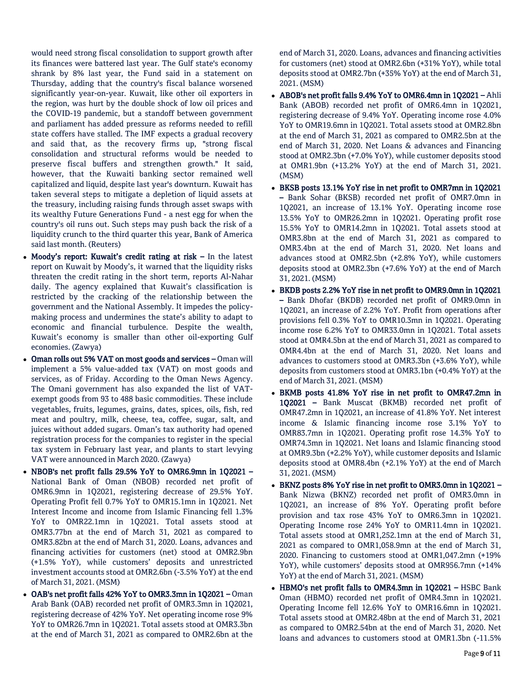would need strong fiscal consolidation to support growth after its finances were battered last year. The Gulf state's economy shrank by 8% last year, the Fund said in a statement on Thursday, adding that the country's fiscal balance worsened significantly year-on-year. Kuwait, like other oil exporters in the region, was hurt by the double shock of low oil prices and the COVID-19 pandemic, but a standoff between government and parliament has added pressure as reforms needed to refill state coffers have stalled. The IMF expects a gradual recovery and said that, as the recovery firms up, "strong fiscal consolidation and structural reforms would be needed to preserve fiscal buffers and strengthen growth." It said, however, that the Kuwaiti banking sector remained well capitalized and liquid, despite last year's downturn. Kuwait has taken several steps to mitigate a depletion of liquid assets at the treasury, including raising funds through asset swaps with its wealthy Future Generations Fund - a nest egg for when the country's oil runs out. Such steps may push back the risk of a liquidity crunch to the third quarter this year, Bank of America said last month. (Reuters)

- Moody's report: Kuwait's credit rating at risk In the latest report on Kuwait by Moody's, it warned that the liquidity risks threaten the credit rating in the short term, reports Al-Nahar daily. The agency explained that Kuwait's classification is restricted by the cracking of the relationship between the government and the National Assembly. It impedes the policymaking process and undermines the state's ability to adapt to economic and financial turbulence. Despite the wealth, Kuwait's economy is smaller than other oil-exporting Gulf economies. (Zawya)
- Oman rolls out 5% VAT on most goods and services Oman will implement a 5% value-added tax (VAT) on most goods and services, as of Friday. According to the Oman News Agency. The Omani government has also expanded the list of VATexempt goods from 93 to 488 basic commodities. These include vegetables, fruits, legumes, grains, dates, spices, oils, fish, red meat and poultry, milk, cheese, tea, coffee, sugar, salt, and juices without added sugars. Oman's tax authority had opened registration process for the companies to register in the special tax system in February last year, and plants to start levying VAT were announced in March 2020. (Zawya)
- NBOB's net profit falls 29.5% YoY to OMR6.9mn in 1Q2021 National Bank of Oman (NBOB) recorded net profit of OMR6.9mn in 1Q2021, registering decrease of 29.5% YoY. Operating Profit fell 0.7% YoY to OMR15.1mn in 1Q2021. Net Interest Income and income from Islamic Financing fell 1.3% YoY to OMR22.1mn in 1Q2021. Total assets stood at OMR3.77bn at the end of March 31, 2021 as compared to OMR3.82bn at the end of March 31, 2020. Loans, advances and financing activities for customers (net) stood at OMR2.9bn (+1.5% YoY), while customers' deposits and unrestricted investment accounts stood at OMR2.6bn (-3.5% YoY) at the end of March 31, 2021. (MSM)
- OAB's net profit falls 42% YoY to OMR3.3mn in 1Q2021 Oman Arab Bank (OAB) recorded net profit of OMR3.3mn in 1Q2021, registering decrease of 42% YoY. Net operating income rose 9% YoY to OMR26.7mn in 1Q2021. Total assets stood at OMR3.3bn at the end of March 31, 2021 as compared to OMR2.6bn at the

end of March 31, 2020. Loans, advances and financing activities for customers (net) stood at OMR2.6bn (+31% YoY), while total deposits stood at OMR2.7bn (+35% YoY) at the end of March 31, 2021. (MSM)

- ABOB's net profit falls 9.4% YoY to OMR6.4mn in 1Q2021 Ahli Bank (ABOB) recorded net profit of OMR6.4mn in 1Q2021, registering decrease of 9.4% YoY. Operating income rose 4.0% YoY to OMR19.6mn in 1Q2021. Total assets stood at OMR2.8bn at the end of March 31, 2021 as compared to OMR2.5bn at the end of March 31, 2020. Net Loans & advances and Financing stood at OMR2.3bn (+7.0% YoY), while customer deposits stood at OMR1.9bn (+13.2% YoY) at the end of March 31, 2021. (MSM)
- BKSB posts 13.1% YoY rise in net profit to OMR7mn in 1Q2021 – Bank Sohar (BKSB) recorded net profit of OMR7.0mn in 1Q2021, an increase of 13.1% YoY. Operating income rose 13.5% YoY to OMR26.2mn in 1Q2021. Operating profit rose 15.5% YoY to OMR14.2mn in 1Q2021. Total assets stood at OMR3.8bn at the end of March 31, 2021 as compared to OMR3.4bn at the end of March 31, 2020. Net loans and advances stood at OMR2.5bn (+2.8% YoY), while customers deposits stood at OMR2.3bn (+7.6% YoY) at the end of March 31, 2021. (MSM)
- BKDB posts 2.2% YoY rise in net profit to OMR9.0mn in 1Q2021 – Bank Dhofar (BKDB) recorded net profit of OMR9.0mn in 1Q2021, an increase of 2.2% YoY. Profit from operations after provisions fell 0.3% YoY to OMR10.3mn in 1Q2021. Operating income rose 6.2% YoY to OMR33.0mn in 1Q2021. Total assets stood at OMR4.5bn at the end of March 31, 2021 as compared to OMR4.4bn at the end of March 31, 2020. Net loans and advances to customers stood at OMR3.3bn (+3.6% YoY), while deposits from customers stood at OMR3.1bn (+0.4% YoY) at the end of March 31, 2021. (MSM)
- BKMB posts 41.8% YoY rise in net profit to OMR47.2mn in 1Q2021 – Bank Muscat (BKMB) recorded net profit of OMR47.2mn in 1Q2021, an increase of 41.8% YoY. Net interest income & Islamic financing income rose 3.1% YoY to OMR83.7mn in 1Q2021. Operating profit rose 14.3% YoY to OMR74.3mn in 1Q2021. Net loans and Islamic financing stood at OMR9.3bn (+2.2% YoY), while customer deposits and Islamic deposits stood at OMR8.4bn (+2.1% YoY) at the end of March 31, 2021. (MSM)
- BKNZ posts 8% YoY rise in net profit to OMR3.0mn in 1Q2021 Bank Nizwa (BKNZ) recorded net profit of OMR3.0mn in 1Q2021, an increase of 8% YoY. Operating profit before provision and tax rose 43% YoY to OMR6.3mn in 1Q2021. Operating Income rose 24% YoY to OMR11.4mn in 1Q2021. Total assets stood at OMR1,252.1mn at the end of March 31, 2021 as compared to OMR1,058.9mn at the end of March 31, 2020. Financing to customers stood at OMR1,047.2mn (+19% YoY), while customers' deposits stood at OMR956.7mn (+14% YoY) at the end of March 31, 2021. (MSM)
- HBMO's net profit falls to OMR4.3mn in 1Q2021 HSBC Bank Oman (HBMO) recorded net profit of OMR4.3mn in 1Q2021. Operating Income fell 12.6% YoY to OMR16.6mn in 1Q2021. Total assets stood at OMR2.48bn at the end of March 31, 2021 as compared to OMR2.54bn at the end of March 31, 2020. Net loans and advances to customers stood at OMR1.3bn (-11.5%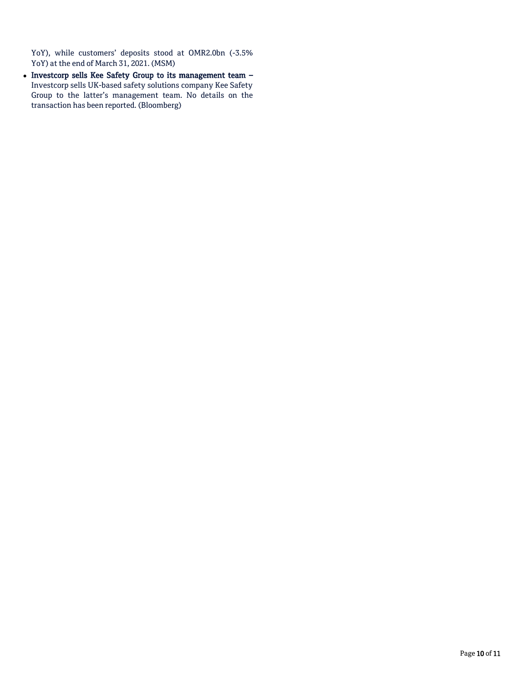YoY), while customers' deposits stood at OMR2.0bn (-3.5% YoY) at the end of March 31, 2021. (MSM)

• Investcorp sells Kee Safety Group to its management team -Investcorp sells UK-based safety solutions company Kee Safety Group to the latter's management team. No details on the transaction has been reported. (Bloomberg)